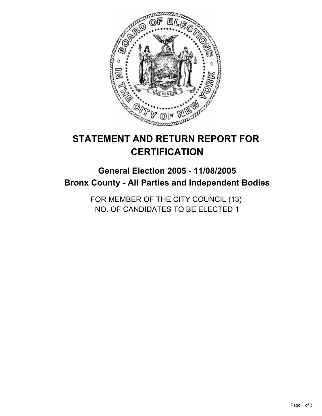

# **STATEMENT AND RETURN REPORT FOR CERTIFICATION**

# **General Election 2005 - 11/08/2005 Bronx County - All Parties and Independent Bodies**

FOR MEMBER OF THE CITY COUNCIL (13) NO. OF CANDIDATES TO BE ELECTED 1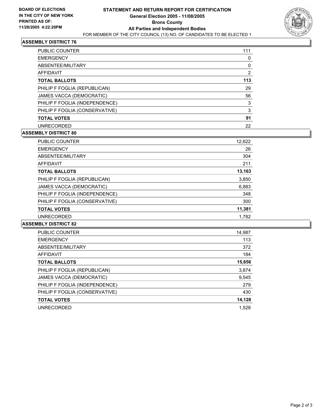

# **ASSEMBLY DISTRICT 76**

| <b>PUBLIC COUNTER</b>          | 111 |
|--------------------------------|-----|
| <b>EMERGENCY</b>               |     |
| ABSENTEE/MILITARY              |     |
| AFFIDAVIT                      | 2   |
| <b>TOTAL BALLOTS</b>           | 113 |
| PHILIP F FOGLIA (REPUBLICAN)   | 29  |
| JAMES VACCA (DEMOCRATIC)       | 56  |
| PHILIP F FOGLIA (INDEPENDENCE) | 3   |
| PHILIP F FOGLIA (CONSERVATIVE) | 3   |
| <b>TOTAL VOTES</b>             | 91  |
| <b>UNRECORDED</b>              | 22  |

#### **ASSEMBLY DISTRICT 80**

| PUBLIC COUNTER                 | 12,622 |
|--------------------------------|--------|
| <b>EMERGENCY</b>               | 26     |
| ABSENTEE/MILITARY              | 304    |
| AFFIDAVIT                      | 211    |
| <b>TOTAL BALLOTS</b>           | 13,163 |
| PHILIP F FOGLIA (REPUBLICAN)   | 3,850  |
| JAMES VACCA (DEMOCRATIC)       | 6,883  |
| PHILIP F FOGLIA (INDEPENDENCE) | 348    |
| PHILIP F FOGLIA (CONSERVATIVE) | 300    |
| <b>TOTAL VOTES</b>             | 11,381 |
| <b>UNRECORDED</b>              | 1,782  |

# **ASSEMBLY DISTRICT 82**

| <b>PUBLIC COUNTER</b>          | 14,987 |
|--------------------------------|--------|
| <b>EMERGENCY</b>               | 113    |
| ABSENTEE/MILITARY              | 372    |
| <b>AFFIDAVIT</b>               | 184    |
| <b>TOTAL BALLOTS</b>           | 15,656 |
| PHILIP F FOGLIA (REPUBLICAN)   | 3,874  |
| JAMES VACCA (DEMOCRATIC)       | 9,545  |
| PHILIP F FOGLIA (INDEPENDENCE) | 279    |
| PHILIP F FOGLIA (CONSERVATIVE) | 430    |
| <b>TOTAL VOTES</b>             | 14,128 |
| <b>UNRECORDED</b>              | 1.528  |